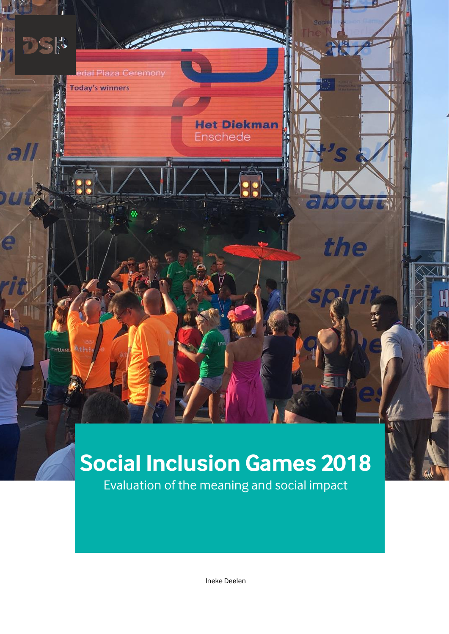# the **THUANI**

**Het Diekman** 

Enschede

**DSK** 

al

edal Plaza Ceremony

**Today's winners** 

# **Social Inclusion Games 2018**

Evaluation of the meaning and social impact

Ineke Deelen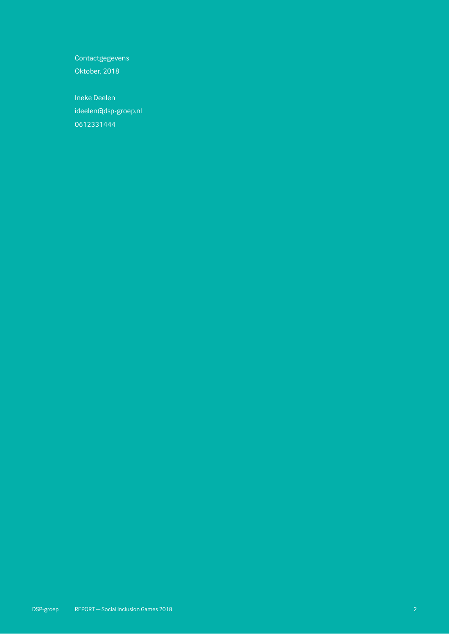**Contactgegevens** 

Oktober, 2018

Ineke Deelen ideelen@dsp-groep.nl 0612331444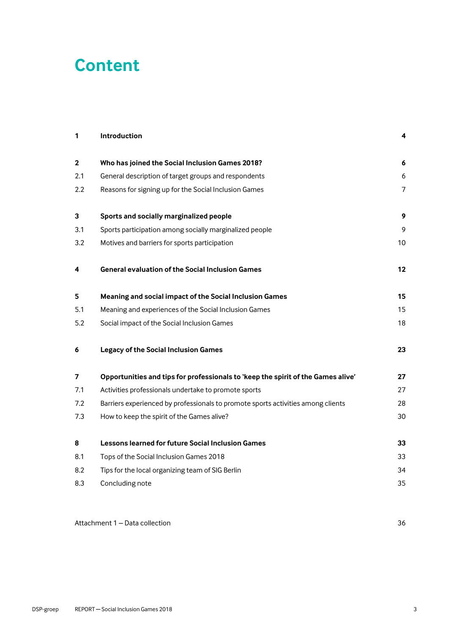# **Content**

| 1                | Introduction                                                                     | 4              |  |  |
|------------------|----------------------------------------------------------------------------------|----------------|--|--|
| $\mathbf 2$      | Who has joined the Social Inclusion Games 2018?                                  | 6              |  |  |
| 2.1              | General description of target groups and respondents                             | 6              |  |  |
| $2.2\phantom{0}$ | Reasons for signing up for the Social Inclusion Games                            | $\overline{7}$ |  |  |
| 3                | Sports and socially marginalized people                                          | 9              |  |  |
| 3.1              | Sports participation among socially marginalized people                          |                |  |  |
| 3.2              | Motives and barriers for sports participation                                    | 10             |  |  |
| 4                | <b>General evaluation of the Social Inclusion Games</b>                          | 12             |  |  |
| 5                | Meaning and social impact of the Social Inclusion Games                          | 15             |  |  |
| 5.1              | Meaning and experiences of the Social Inclusion Games                            | 15             |  |  |
| 5.2              | Social impact of the Social Inclusion Games                                      | 18             |  |  |
| 6                | <b>Legacy of the Social Inclusion Games</b>                                      | 23             |  |  |
| 7                | Opportunities and tips for professionals to 'keep the spirit of the Games alive' | 27             |  |  |
| 7.1              | Activities professionals undertake to promote sports                             | 27             |  |  |
| 7.2              | Barriers experienced by professionals to promote sports activities among clients | 28             |  |  |
| 7.3              | How to keep the spirit of the Games alive?                                       | 30             |  |  |
| 8                | Lessons learned for future Social Inclusion Games                                | 33             |  |  |
| 8.1              | Tops of the Social Inclusion Games 2018                                          | 33             |  |  |
| 8.2              | Tips for the local organizing team of SIG Berlin                                 | 34             |  |  |
| 8.3              | Concluding note                                                                  | 35             |  |  |
|                  |                                                                                  |                |  |  |

Attachment 1 – [Data collection](#page-35-0) 36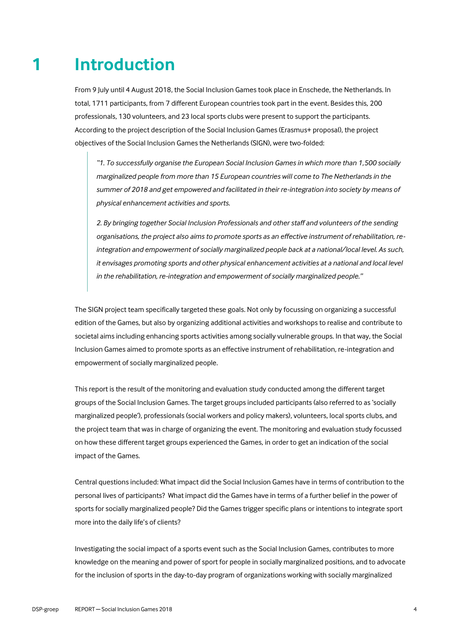# **1 Introduction**

<span id="page-3-0"></span>From 9 July until 4 August 2018, the Social Inclusion Games took place in Enschede, the Netherlands. In total, 1711 participants, from 7 different European countries took part in the event. Besides this, 200 professionals, 130 volunteers, and 23 local sports clubs were present to support the participants. According to the project description of the Social Inclusion Games (Erasmus+ proposal), the project objectives of the Social Inclusion Games the Netherlands (SIGN), were two-folded:

*"1. To successfully organise the European Social Inclusion Games in which more than 1,500 socially marginalized people from more than 15 European countries will come to The Netherlands in the summer of 2018 and get empowered and facilitated in their re-integration into society by means of physical enhancement activities and sports.*

*2. By bringing together Social Inclusion Professionals and other staff and volunteers of the sending organisations, the project also aims to promote sports as an effective instrument of rehabilitation, reintegration and empowerment of socially marginalized people back at a national/local level. As such, it envisages promoting sports and other physical enhancement activities at a national and local level in the rehabilitation, re-integration and empowerment of socially marginalized people."*

The SIGN project team specifically targeted these goals. Not only by focussing on organizing a successful edition of the Games, but also by organizing additional activities and workshops to realise and contribute to societal aims including enhancing sports activities among socially vulnerable groups. In that way, the Social Inclusion Games aimed to promote sports as an effective instrument of rehabilitation, re-integration and empowerment of socially marginalized people.

This report is the result of the monitoring and evaluation study conducted among the different target groups of the Social Inclusion Games. The target groups included participants (also referred to as 'socially marginalized people'), professionals (social workers and policy makers), volunteers, local sports clubs, and the project team that was in charge of organizing the event. The monitoring and evaluation study focussed on how these different target groups experienced the Games, in order to get an indication of the social impact of the Games.

Central questions included: What impact did the Social Inclusion Games have in terms of contribution to the personal lives of participants? What impact did the Games have in terms of a further belief in the power of sports for socially marginalized people? Did the Games trigger specific plans or intentions to integrate sport more into the daily life's of clients?

Investigating the social impact of a sports event such as the Social Inclusion Games, contributes to more knowledge on the meaning and power of sport for people in socially marginalized positions, and to advocate for the inclusion of sports in the day-to-day program of organizations working with socially marginalized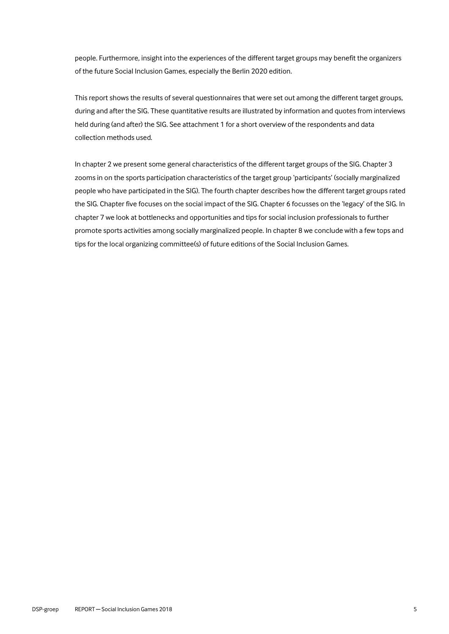people. Furthermore, insight into the experiences of the different target groups may benefit the organizers of the future Social Inclusion Games, especially the Berlin 2020 edition.

This report shows the results of several questionnaires that were set out among the different target groups, during and after the SIG. These quantitative results are illustrated by information and quotes from interviews held during (and after) the SIG. See attachment 1 for a short overview of the respondents and data collection methods used.

In chapter 2 we present some general characteristics of the different target groups of the SIG. Chapter 3 zooms in on the sports participation characteristics of the target group 'participants' (socially marginalized people who have participated in the SIG). The fourth chapter describes how the different target groups rated the SIG. Chapter five focuses on the social impact of the SIG. Chapter 6 focusses on the 'legacy' of the SIG. In chapter 7 we look at bottlenecks and opportunities and tips for social inclusion professionals to further promote sports activities among socially marginalized people. In chapter 8 we conclude with a few tops and tips for the local organizing committee(s) of future editions of the Social Inclusion Games.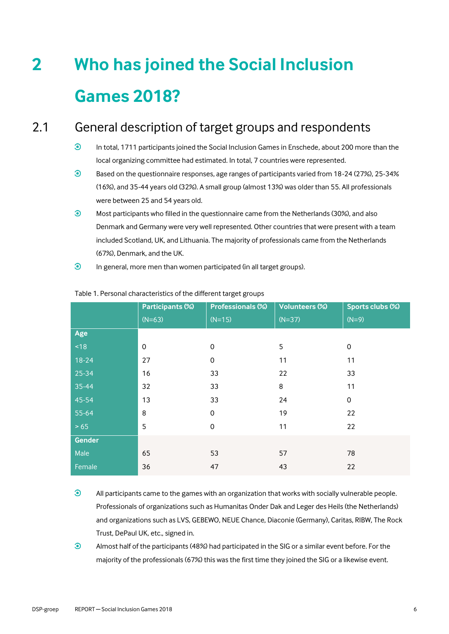# <span id="page-5-0"></span>**2 Who has joined the Social Inclusion Games 2018?**

## 2.1 General description of target groups and respondents

- <span id="page-5-1"></span> $\odot$ In total, 1711 participants joined the Social Inclusion Games in Enschede, about 200 more than the local organizing committee had estimated. In total, 7 countries were represented.
- $\odot$ Based on the questionnaire responses, age ranges of participants varied from 18-24 (27%), 25-34% (16%), and 35-44 years old (32%). A small group (almost 13%) was older than 55. All professionals were between 25 and 54 years old.
- $\odot$ Most participants who filled in the questionnaire came from the Netherlands (30%), and also Denmark and Germany were very well represented. Other countries that were present with a team included Scotland, UK, and Lithuania. The majority of professionals came from the Netherlands (67%), Denmark, and the UK.
- $\odot$ In general, more men than women participated (in all target groups).

|         | Participants (%) | Professionals (%)   | <b>Volunteers (%)</b> | Sports clubs (%) |
|---------|------------------|---------------------|-----------------------|------------------|
|         | $(N=63)$         | $(N=15)$            | $(N=37)$              | $(N=9)$          |
| Age     |                  |                     |                       |                  |
| ~18     | $\mathbf 0$      | 0                   | 5                     | 0                |
| $18-24$ | 27               | 0                   | 11                    | 11               |
| 25-34   | 16               | 33                  | 22                    | 33               |
| 35-44   | 32               | 33                  | 8                     | 11               |
| 45-54   | 13               | 33                  | 24                    | $\mathbf 0$      |
| 55-64   | 8                | 0                   | 19                    | 22               |
| > 65    | 5                | $\mathsf{O}\xspace$ | 11                    | 22               |
| Gender  |                  |                     |                       |                  |
| Male    | 65               | 53                  | 57                    | 78               |
| Female  | 36               | 47                  | 43                    | 22               |

#### Table 1. Personal characteristics of the different target groups

- $\odot$ All participants came to the games with an organization that works with socially vulnerable people. Professionals of organizations such as Humanitas Onder Dak and Leger des Heils (the Netherlands) and organizations such as LVS, GEBEWO, NEUE Chance, Diaconie (Germany), Caritas, RIBW, The Rock Trust, DePaul UK, etc., signed in.
- $\odot$ Almost half of the participants (48%) had participated in the SIG or a similar event before. For the majority of the professionals (67%) this was the first time they joined the SIG or a likewise event.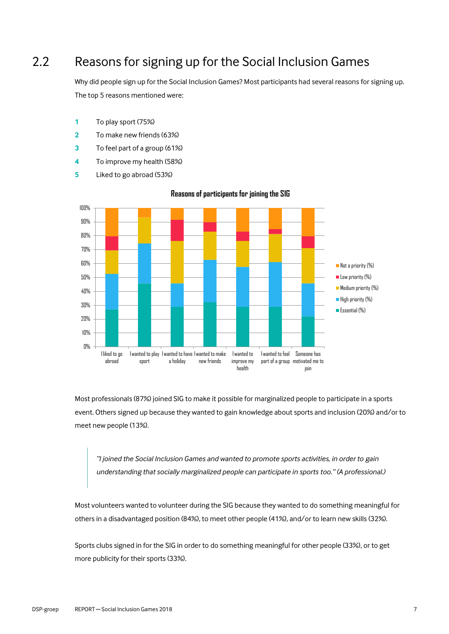## 2.2 Reasons for signing up for the Social Inclusion Games

<span id="page-6-0"></span>Why did people sign up for the Social Inclusion Games? Most participants had several reasons for signing up. The top 5 reasons mentioned were:

- **1** To play sport (75%)
- **2** To make new friends (63%)
- **3** To feel part of a group (61%)
- **4** To improve my health (58%)
- **5** Liked to go abroad (53%)



#### **Reasons of participants for joining the SIG**

Most professionals (87%) joined SIG to make it possible for marginalized people to participate in a sports event. Others signed up because they wanted to gain knowledge about sports and inclusion (20%) and/or to meet new people (13%).

*"I joined the Social Inclusion Games and wanted to promote sports activities, in order to gain understanding that socially marginalized people can participate in sports too." (A professional.)*

Most volunteers wanted to volunteer during the SIG because they wanted to do something meaningful for others in a disadvantaged position (84%), to meet other people (41%), and/or to learn new skills (32%).

Sports clubs signed in for the SIG in order to do something meaningful for other people (33%), or to get more publicity for their sports (33%).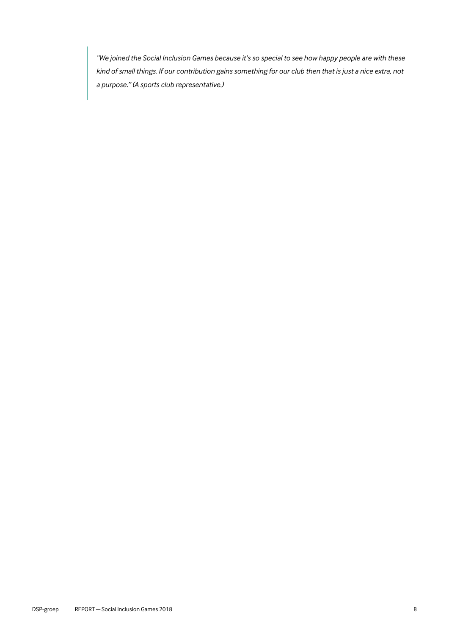*"We joined the Social Inclusion Games because it's so special to see how happy people are with these kind of small things. If our contribution gains something for our club then that is just a nice extra, not a purpose." (A sports club representative.)*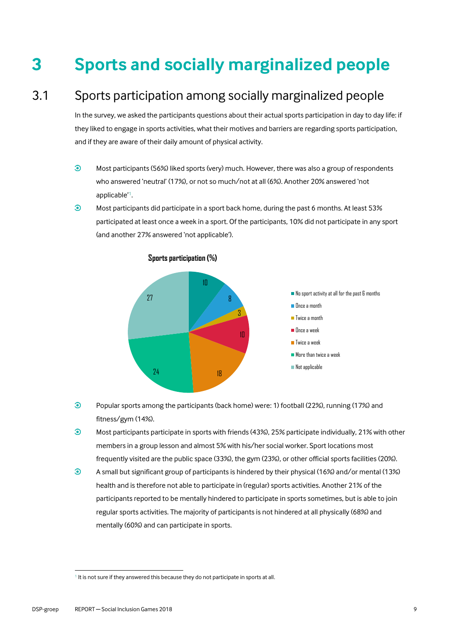# <span id="page-8-0"></span>**3 Sports and socially marginalized people**

# 3.1 Sports participation among socially marginalized people

<span id="page-8-1"></span>In the survey, we asked the participants questions about their actual sports participation in day to day life: if they liked to engage in sports activities, what their motives and barriers are regarding sports participation, and if they are aware of their daily amount of physical activity.

- $\odot$ Most participants (56%) liked sports (very) much. However, there was also a group of respondents who answered 'neutral' (17%), or not so much/not at all (6%). Another 20% answered 'not applicable'<sup>1</sup> .
- $\odot$ Most participants did participate in a sport back home, during the past 6 months. At least 53% participated at least once a week in a sport. Of the participants, 10% did not participate in any sport (and another 27% answered 'not applicable').



#### **Sports participation (%)**

- $\odot$ Popular sports among the participants (back home) were: 1) football (22%), running (17%) and fitness/gym (14%).
- $\odot$ Most participants participate in sports with friends (43%), 25% participate individually, 21% with other members in a group lesson and almost 5% with his/her social worker. Sport locations most frequently visited are the public space (33%), the gym (23%), or other official sports facilities (20%).
- $\odot$ A small but significant group of participants is hindered by their physical (16%) and/or mental (13%) health and is therefore not able to participate in (regular) sports activities. Another 21% of the participants reported to be mentally hindered to participate in sports sometimes, but is able to join regular sports activities. The majority of participants is not hindered at all physically (68%) and mentally (60%) and can participate in sports.

 $\overline{a}$ 

<sup>&</sup>lt;sup>1</sup> It is not sure if they answered this because they do not participate in sports at all.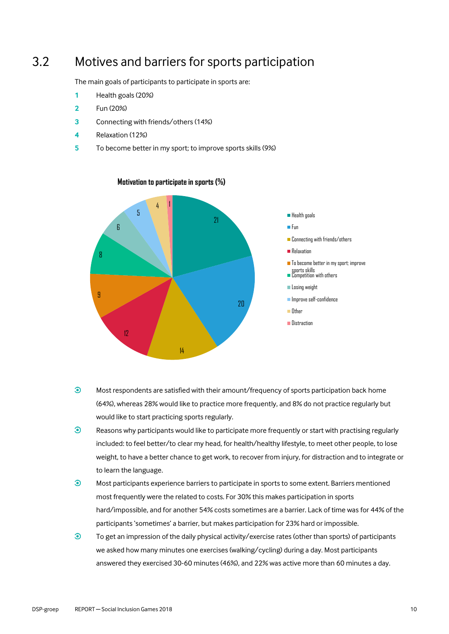## 3.2 Motives and barriers for sports participation

<span id="page-9-0"></span>The main goals of participants to participate in sports are:

- **1** Health goals (20%)
- **2** Fun (20%)
- **3** Connecting with friends/others (14%)
- **4** Relaxation (12%)
- **5** To become better in my sport; to improve sports skills (9%)



#### **Motivation to participate in sports (%)**

- $\odot$ Most respondents are satisfied with their amount/frequency of sports participation back home (64%), whereas 28% would like to practice more frequently, and 8% do not practice regularly but would like to start practicing sports regularly.
- $\odot$ Reasons why participants would like to participate more frequently or start with practising regularly included: to feel better/to clear my head, for health/healthy lifestyle, to meet other people, to lose weight, to have a better chance to get work, to recover from injury, for distraction and to integrate or to learn the language.
- $\odot$ Most participants experience barriers to participate in sports to some extent. Barriers mentioned most frequently were the related to costs. For 30% this makes participation in sports hard/impossible, and for another 54% costs sometimes are a barrier. Lack of time was for 44% of the participants 'sometimes' a barrier, but makes participation for 23% hard or impossible.
- $\odot$ To get an impression of the daily physical activity/exercise rates (other than sports) of participants we asked how many minutes one exercises (walking/cycling) during a day. Most participants answered they exercised 30-60 minutes (46%), and 22% was active more than 60 minutes a day.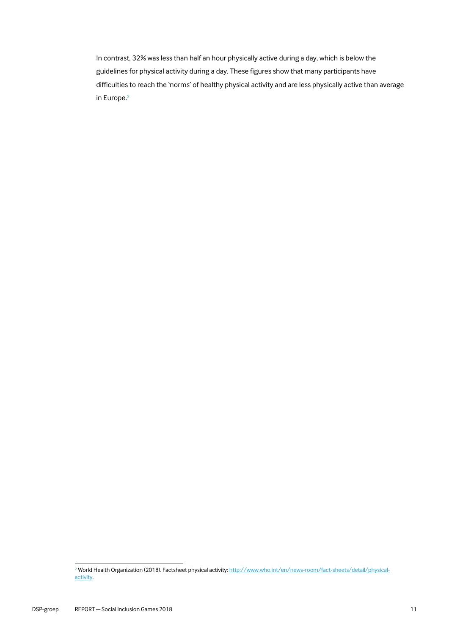In contrast, 32% was less than half an hour physically active during a day, which is below the guidelines for physical activity during a day. These figures show that many participants have difficulties to reach the 'norms' of healthy physical activity and are less physically active than average in Europe. 2

 $\overline{a}$ 

<sup>&</sup>lt;sup>2</sup> World Health Organization (2018). Factsheet physical activity[: http://www.who.int/en/news-room/fact-sheets/detail/physical](http://www.who.int/en/news-room/fact-sheets/detail/physical-activity)[activity.](http://www.who.int/en/news-room/fact-sheets/detail/physical-activity)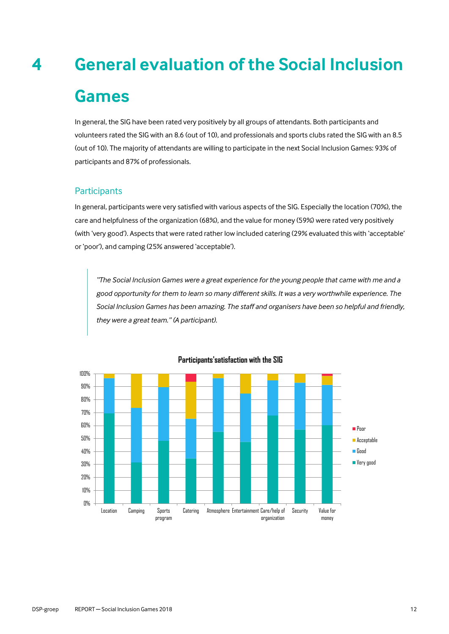# <span id="page-11-0"></span>**4 General evaluation of the Social Inclusion Games**

In general, the SIG have been rated very positively by all groups of attendants. Both participants and volunteers rated the SIG with an 8.6 (out of 10), and professionals and sports clubs rated the SIG with an 8.5 (out of 10). The majority of attendants are willing to participate in the next Social Inclusion Games: 93% of participants and 87% of professionals.

#### **Participants**

In general, participants were very satisfied with various aspects of the SIG. Especially the location (70%), the care and helpfulness of the organization (68%), and the value for money (59%) were rated very positively (with 'very good'). Aspects that were rated rather low included catering (29% evaluated this with 'acceptable' or 'poor'), and camping (25% answered 'acceptable').

*"The Social Inclusion Games were a great experience for the young people that came with me and a good opportunity for them to learn so many different skills. It was a very worthwhile experience. The Social Inclusion Games has been amazing. The staff and organisers have been so helpful and friendly, they were a great team." (A participant).*



#### **Participants'satisfaction with the SIG**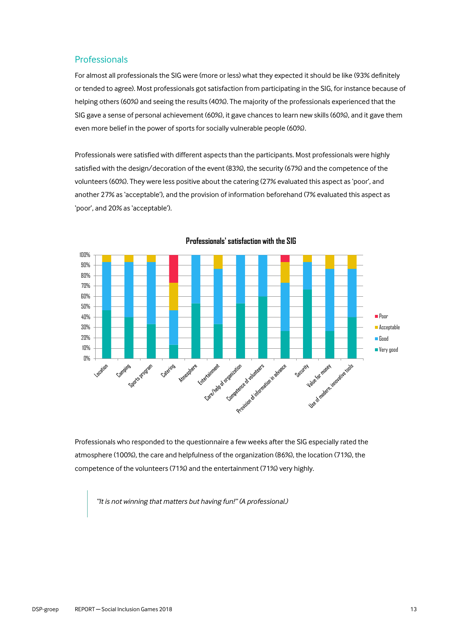#### Professionals

For almost all professionals the SIG were (more or less) what they expected it should be like (93% definitely or tended to agree). Most professionals got satisfaction from participating in the SIG, for instance because of helping others (60%) and seeing the results (40%). The majority of the professionals experienced that the SIG gave a sense of personal achievement (60%), it gave chances to learn new skills (60%), and it gave them even more belief in the power of sports for socially vulnerable people (60%).

Professionals were satisfied with different aspects than the participants. Most professionals were highly satisfied with the design/decoration of the event (83%), the security (67%) and the competence of the volunteers (60%). They were less positive about the catering (27% evaluated this aspect as 'poor', and another 27% as 'acceptable'), and the provision of information beforehand (7% evaluated this aspect as 'poor', and 20% as 'acceptable').



**Professionals' satisfaction with the SIG**

Professionals who responded to the questionnaire a few weeks after the SIG especially rated the atmosphere (100%), the care and helpfulness of the organization (86%), the location (71%), the competence of the volunteers (71%) and the entertainment (71%) very highly.

*"It is not winning that matters but having fun!" (A professional.)*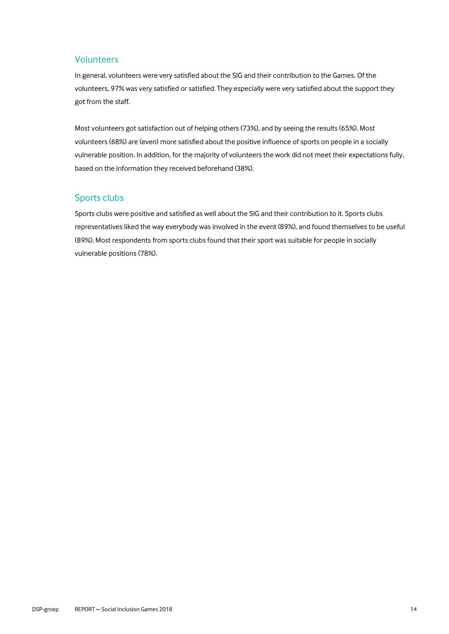#### Volunteers

In general, volunteers were very satisfied about the SIG and their contribution to the Games. Of the volunteers, 97% was very satisfied or satisfied. They especially were very satisfied about the support they got from the staff.

Most volunteers got satisfaction out of helping others (73%), and by seeing the results (65%). Most volunteers (68%) are (even) more satisfied about the positive influence of sports on people in a socially vulnerable position. In addition, for the majority of volunteers the work did not meet their expectations fully, based on the information they received beforehand (38%).

#### Sports clubs

Sports clubs were positive and satisfied as well about the SIG and their contribution to it. Sports clubs representatives liked the way everybody was involved in the event (89%), and found themselves to be useful (89%). Most respondents from sports clubs found that their sport was suitable for people in socially vulnerable positions (78%).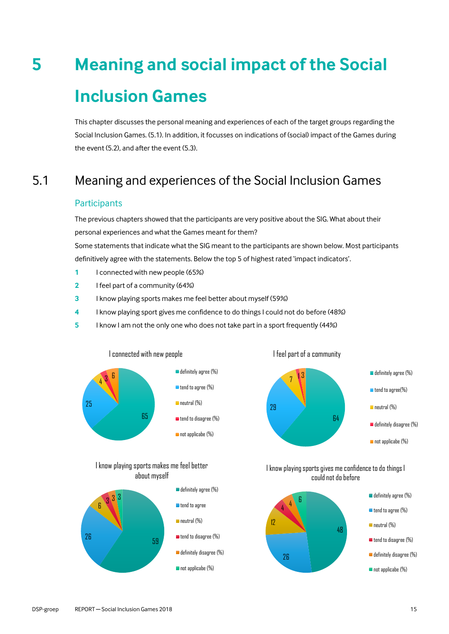# <span id="page-14-0"></span>**5 Meaning and social impact of the Social Inclusion Games**

This chapter discusses the personal meaning and experiences of each of the target groups regarding the Social Inclusion Games. (5.1). In addition, it focusses on indications of (social) impact of the Games during the event (5.2), and after the event (5.3).

# 5.1 Meaning and experiences of the Social Inclusion Games

#### <span id="page-14-1"></span>**Participants**

The previous chapters showed that the participants are very positive about the SIG. What about their personal experiences and what the Games meant for them?

Some statements that indicate what the SIG meant to the participants are shown below. Most participants definitively agree with the statements. Below the top 5 of highest rated 'impact indicators'.

- **1** I connected with new people (65%)
- **2** I feel part of a community (64%)
- **3** I know playing sports makes me feel better about myself (59%)
- **4** I know playing sport gives me confidence to do things I could not do before (48%)
- **5** I know I am not the only one who does not take part in a sport frequently (44%)



#### I know playing sports makes me feel better about myself





I feel part of a community

I know playing sports gives me confidence to do things I could not do before



definitely agree (%)

- **tend to agree (%)**
- neutral (%)
- **tend to disagree (%)**
- definitely disagree (%)
- not applicabe (%)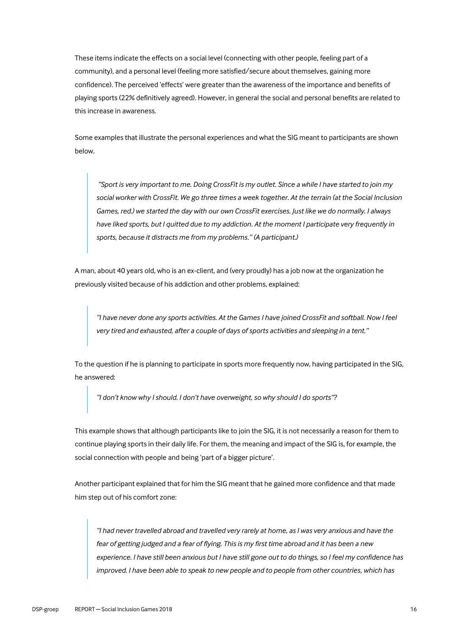These items indicate the effects on a social level (connecting with other people, feeling part of a community), and a personal level (feeling more satisfied/secure about themselves, gaining more confidence). The perceived 'effects' were greater than the awareness of the importance and benefits of playing sports (22% definitively agreed). However, in general the social and personal benefits are related to this increase in awareness.

Some examples that illustrate the personal experiences and what the SIG meant to participants are shown below.

*"Sport is very important to me. Doing CrossFit is my outlet. Since a while I have started to join my social worker with CrossFit. We go three times a week together. At the terrain (at the Social Inclusion Games, red.) we started the day with our own CrossFit exercises. Just like we do normally. I always have liked sports, but I quitted due to my addiction. At the moment I participate very frequently in sports, because it distracts me from my problems." (A participant.)*

A man, about 40 years old, who is an ex-client, and (very proudly) has a job now at the organization he previously visited because of his addiction and other problems, explained:

*"I have never done any sports activities. At the Games I have joined CrossFit and softball. Now I feel very tired and exhausted, after a couple of days of sports activities and sleeping in a tent."*

To the question if he is planning to participate in sports more frequently now, having participated in the SIG, he answered:

*"I don't know why I should. I don't have overweight, so why should I do sports"?* 

This example shows that although participants like to join the SIG, it is not necessarily a reason for them to continue playing sports in their daily life. For them, the meaning and impact of the SIG is, for example, the social connection with people and being 'part of a bigger picture'.

Another participant explained that for him the SIG meant that he gained more confidence and that made him step out of his comfort zone:

*"I had never travelled abroad and travelled very rarely at home, as I was very anxious and have the fear of getting judged and a fear of flying. This is my first time abroad and it has been a new experience. I have still been anxious but I have still gone out to do things, so I feel my confidence has improved. I have been able to speak to new people and to people from other countries, which has*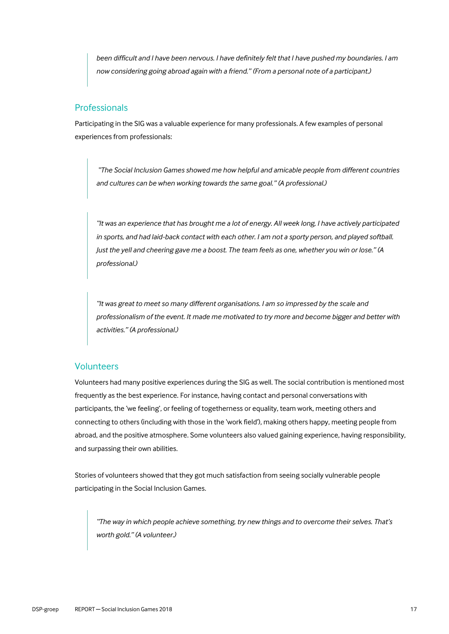*been difficult and I have been nervous. I have definitely felt that I have pushed my boundaries. I am now considering going abroad again with a friend." (From a personal note of a participant.)*

#### Professionals

Participating in the SIG was a valuable experience for many professionals. A few examples of personal experiences from professionals:

*"The Social Inclusion Games showed me how helpful and amicable people from different countries and cultures can be when working towards the same goal." (A professional.)*

*"It was an experience that has brought me a lot of energy. All week long, I have actively participated in sports, and had laid-back contact with each other. I am not a sporty person, and played softball. Just the yell and cheering gave me a boost. The team feels as one, whether you win or lose." (A professional.)*

*"It was great to meet so many different organisations. I am so impressed by the scale and professionalism of the event. It made me motivated to try more and become bigger and better with activities." (A professional.)*

#### **Volunteers**

Volunteers had many positive experiences during the SIG as well. The social contribution is mentioned most frequently as the best experience. For instance, having contact and personal conversations with participants, the 'we feeling', or feeling of togetherness or equality, team work, meeting others and connecting to others (including with those in the 'work field'), making others happy, meeting people from abroad, and the positive atmosphere. Some volunteers also valued gaining experience, having responsibility, and surpassing their own abilities.

Stories of volunteers showed that they got much satisfaction from seeing socially vulnerable people participating in the Social Inclusion Games.

*"The way in which people achieve something, try new things and to overcome their selves. That's worth gold." (A volunteer.)*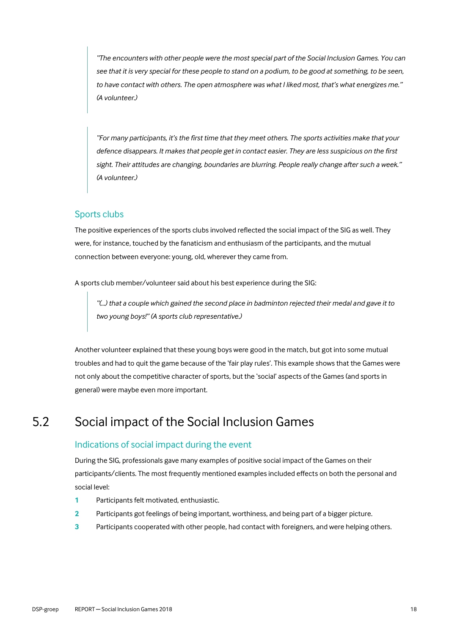*"The encounters with other people were the most special part of the Social Inclusion Games. You can see that it is very special for these people to stand on a podium, to be good at something, to be seen, to have contact with others. The open atmosphere was what I liked most, that's what energizes me." (A volunteer.)*

*"For many participants, it's the first time that they meet others. The sports activities make that your defence disappears. It makes that people get in contact easier. They are less suspicious on the first sight. Their attitudes are changing, boundaries are blurring. People really change after such a week." (A volunteer.)*

#### Sports clubs

The positive experiences of the sports clubs involved reflected the social impact of the SIG as well. They were, for instance, touched by the fanaticism and enthusiasm of the participants, and the mutual connection between everyone: young, old, wherever they came from.

A sports club member/volunteer said about his best experience during the SIG:

*"(…) that a couple which gained the second place in badminton rejected their medal and gave it to two young boys!" (A sports club representative.)*

Another volunteer explained that these young boys were good in the match, but got into some mutual troubles and had to quit the game because of the 'fair play rules'. This example shows that the Games were not only about the competitive character of sports, but the 'social' aspects of the Games (and sports in general) were maybe even more important.

## 5.2 Social impact of the Social Inclusion Games

#### <span id="page-17-0"></span>Indications of social impact during the event

During the SIG, professionals gave many examples of positive social impact of the Games on their participants/clients. The most frequently mentioned examples included effects on both the personal and social level:

- **1** Participants felt motivated, enthusiastic.
- **2** Participants got feelings of being important, worthiness, and being part of a bigger picture.
- **3** Participants cooperated with other people, had contact with foreigners, and were helping others.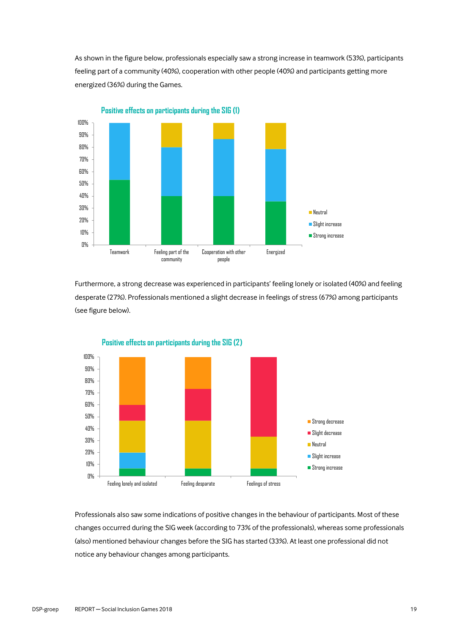As shown in the figure below, professionals especially saw a strong increase in teamwork (53%), participants feeling part of a community (40%), cooperation with other people (40%) and participants getting more energized (36%) during the Games.



Furthermore, a strong decrease was experienced in participants' feeling lonely or isolated (40%) and feeling desperate (27%). Professionals mentioned a slight decrease in feelings of stress (67%) among participants (see figure below).



Professionals also saw some indications of positive changes in the behaviour of participants. Most of these changes occurred during the SIG week (according to 73% of the professionals), whereas some professionals (also) mentioned behaviour changes before the SIG has started (33%). At least one professional did not notice any behaviour changes among participants.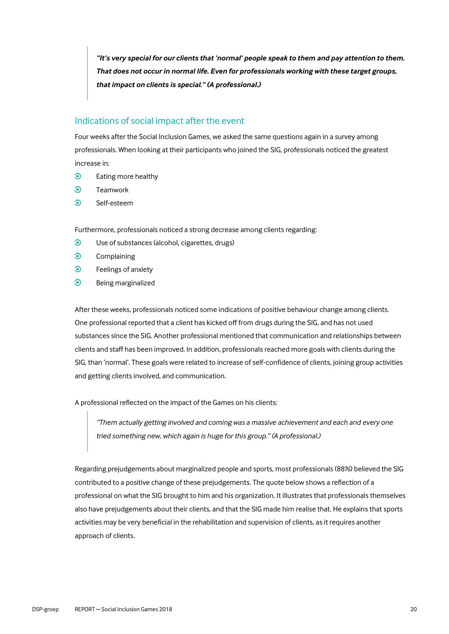*"It's very special for our clients that 'normal' people speak to them and pay attention to them. That does not occur in normal life. Even for professionals working with these target groups, that impact on clients is special." (A professional.)*

#### Indications of social impact after the event

Four weeks after the Social Inclusion Games, we asked the same questions again in a survey among professionals. When looking at their participants who joined the SIG, professionals noticed the greatest increase in:

- $\odot$ Eating more healthy
- $\odot$ Teamwork
- $\odot$ Self-esteem

Furthermore, professionals noticed a strong decrease among clients regarding:

- $\odot$ Use of substances (alcohol, cigarettes, drugs)
- $\odot$ Complaining
- $\odot$ Feelings of anxiety
- $\odot$ Being marginalized

After these weeks, professionals noticed some indications of positive behaviour change among clients. One professional reported that a client has kicked off from drugs during the SIG, and has not used substances since the SIG. Another professional mentioned that communication and relationships between clients and staff has been improved. In addition, professionals reached more goals with clients during the SIG, than 'normal'. These goals were related to increase of self-confidence of clients, joining group activities and getting clients involved, and communication.

A professional reflected on the impact of the Games on his clients:

*"Them actually getting involved and coming was a massive achievement and each and every one tried something new, which again is huge for this group." (A professional.)*

Regarding prejudgements about marginalized people and sports, most professionals (88%) believed the SIG contributed to a positive change of these prejudgements. The quote below shows a reflection of a professional on what the SIG brought to him and his organization. It illustrates that professionals themselves also have prejudgements about their clients, and that the SIG made him realise that. He explains that sports activities may be very beneficial in the rehabilitation and supervision of clients, as it requires another approach of clients.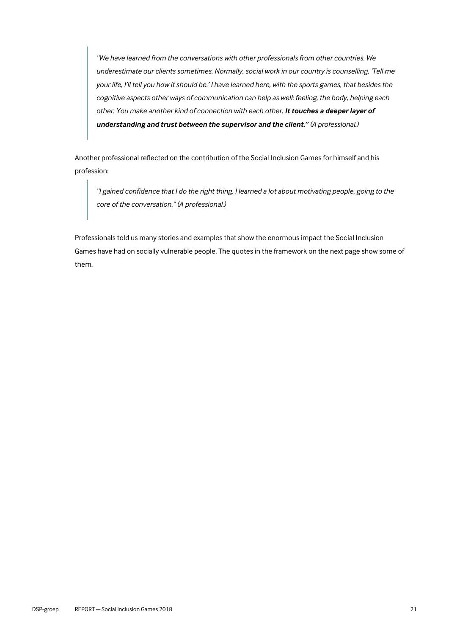*"We have learned from the conversations with other professionals from other countries. We underestimate our clients sometimes. Normally, social work in our country is counselling. 'Tell me your life, I'll tell you how it should be.' I have learned here, with the sports games, that besides the cognitive aspects other ways of communication can help as well: feeling, the body, helping each other. You make another kind of connection with each other. It touches a deeper layer of understanding and trust between the supervisor and the client." (A professional.)*

Another professional reflected on the contribution of the Social Inclusion Games for himself and his profession:

*"I gained confidence that I do the right thing. I learned a lot about motivating people, going to the core of the conversation." (A professional.)*

Professionals told us many stories and examples that show the enormous impact the Social Inclusion Games have had on socially vulnerable people. The quotes in the framework on the next page show some of them.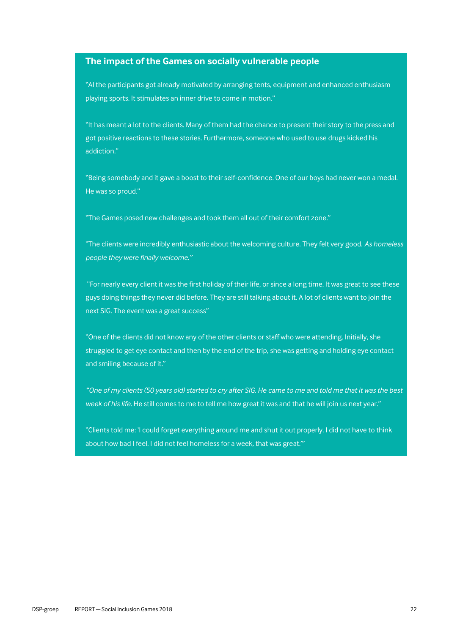#### **The impact of the Games on socially vulnerable people**

"Al the participants got already motivated by arranging tents, equipment and enhanced enthusiasm playing sports. It stimulates an inner drive to come in motion."

"It has meant a lot to the clients. Many of them had the chance to present their story to the press and got positive reactions to these stories. Furthermore, someone who used to use drugs kicked his addiction."

"Being somebody and it gave a boost to their self-confidence. One of our boys had never won a medal. He was so proud."

"The Games posed new challenges and took them all out of their comfort zone."

"The clients were incredibly enthusiastic about the welcoming culture. They felt very good. *As homeless people they were finally welcome."*

"For nearly every client it was the first holiday of their life, or since a long time. It was great to see these guys doing things they never did before. They are still talking about it. A lot of clients want to join the next SIG. The event was a great success"

"One of the clients did not know any of the other clients or staff who were attending. Initially, she struggled to get eye contact and then by the end of the trip, she was getting and holding eye contact and smiling because of it."

*"One of my clients (50 years old) started to cry after SIG. He came to me and told me that it was the best week of his life.* He still comes to me to tell me how great it was and that he will join us next year."

"Clients told me: 'I could forget everything around me and shut it out properly. I did not have to think about how bad I feel. I did not feel homeless for a week, that was great.'"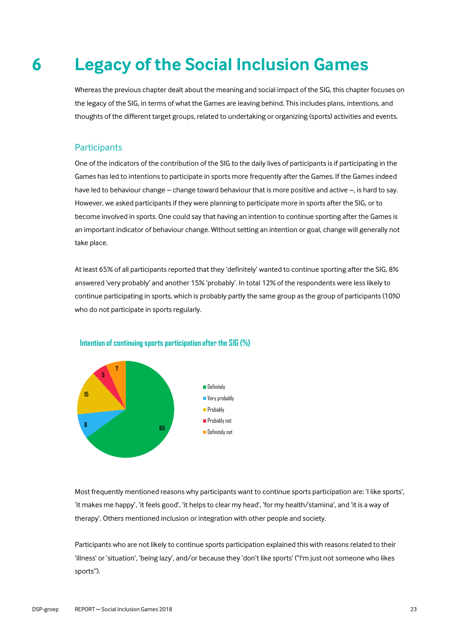# **6 Legacy of the Social Inclusion Games**

<span id="page-22-0"></span>Whereas the previous chapter dealt about the meaning and social impact of the SIG, this chapter focuses on the legacy of the SIG, in terms of what the Games are leaving behind. This includes plans, intentions, and thoughts of the different target groups, related to undertaking or organizing (sports) activities and events.

#### **Participants**

One of the indicators of the contribution of the SIG to the daily lives of participants is if participating in the Games has led to intentions to participate in sports more frequently after the Games. If the Games indeed have led to behaviour change – change toward behaviour that is more positive and active –, is hard to say. However, we asked participants if they were planning to participate more in sports after the SIG, or to become involved in sports. One could say that having an intention to continue sporting after the Games is an important indicator of behaviour change. Without setting an intention or goal, change will generally not take place.

At least 65% of all participants reported that they 'definitely' wanted to continue sporting after the SIG, 8% answered 'very probably' and another 15% 'probably'. In total 12% of the respondents were less likely to continue participating in sports, which is probably partly the same group as the group of participants (10%) who do not participate in sports regularly.



**Intention of continuing sports participation after the SIG (%)**

Most frequently mentioned reasons why participants want to continue sports participation are: 'I like sports', 'it makes me happy', 'it feels good', 'it helps to clear my head', 'for my health/stamina', and 'it is a way of therapy'. Others mentioned inclusion or integration with other people and society.

Participants who are not likely to continue sports participation explained this with reasons related to their 'illness' or 'situation', 'being lazy', and/or because they 'don't like sports' ("I'm just not someone who likes sports").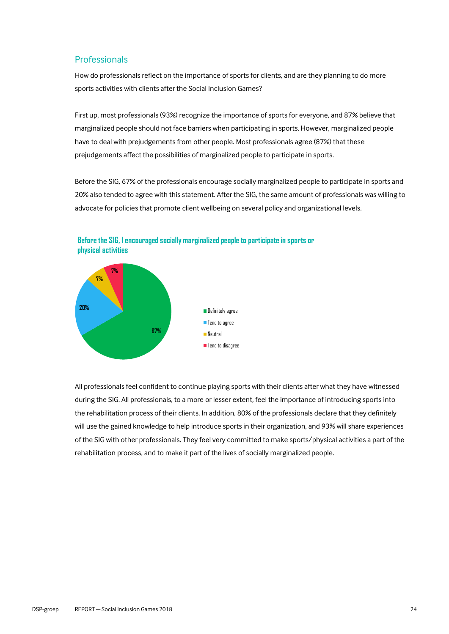#### Professionals

How do professionals reflect on the importance of sports for clients, and are they planning to do more sports activities with clients after the Social Inclusion Games?

First up, most professionals (93%) recognize the importance of sports for everyone, and 87% believe that marginalized people should not face barriers when participating in sports. However, marginalized people have to deal with prejudgements from other people. Most professionals agree (87%) that these prejudgements affect the possibilities of marginalized people to participate in sports.

Before the SIG, 67% of the professionals encourage socially marginalized people to participate in sports and 20% also tended to agree with this statement. After the SIG, the same amount of professionals was willing to advocate for policies that promote client wellbeing on several policy and organizational levels.



**Before the SIG, I encouraged socially marginalized people to participate in sports or physical activities**

All professionals feel confident to continue playing sports with their clients after what they have witnessed during the SIG. All professionals, to a more or lesser extent, feel the importance of introducing sports into the rehabilitation process of their clients. In addition, 80% of the professionals declare that they definitely will use the gained knowledge to help introduce sports in their organization, and 93% will share experiences of the SIG with other professionals. They feel very committed to make sports/physical activities a part of the rehabilitation process, and to make it part of the lives of socially marginalized people.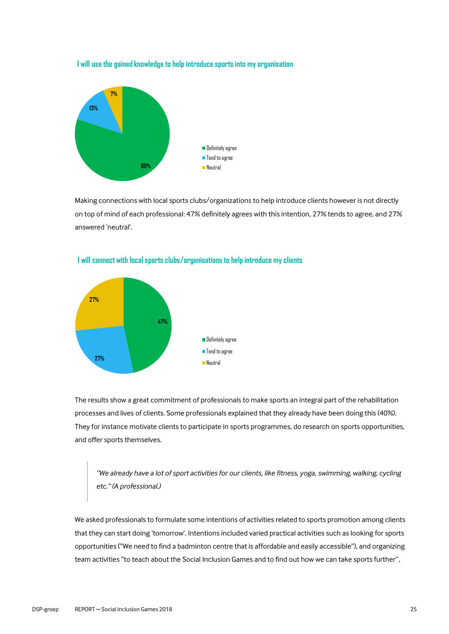**I will use the gained knowledge to help introduce sports into my organisation**



Making connections with local sports clubs/organizations to help introduce clients however is not directly on top of mind of each professional: 47% definitely agrees with this intention, 27% tends to agree, and 27% answered 'neutral'.



#### **I will connect with local sports clubs/organisations to help introduce my clients**

The results show a great commitment of professionals to make sports an integral part of the rehabilitation processes and lives of clients. Some professionals explained that they already have been doing this (40%). They for instance motivate clients to participate in sports programmes, do research on sports opportunities, and offer sports themselves.

*"We already have a lot of sport activities for our clients, like fitness, yoga, swimming, walking, cycling etc." (A professional.)*

We asked professionals to formulate some intentions of activities related to sports promotion among clients that they can start doing 'tomorrow'. Intentions included varied practical activities such as looking for sports opportunities ("We need to find a badminton centre that is affordable and easily accessible"), and organizing team activities "to teach about the Social Inclusion Games and to find out how we can take sports further",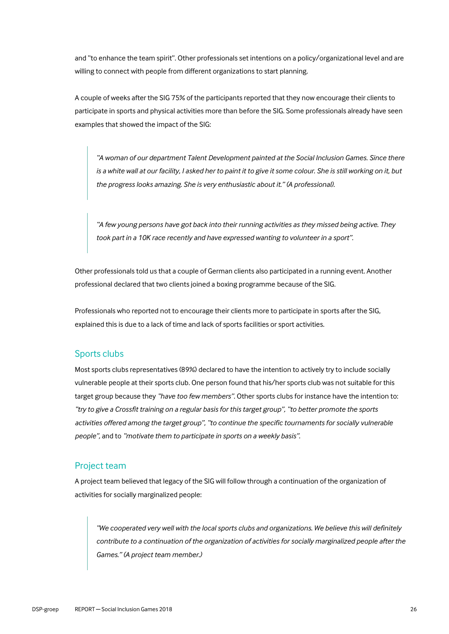and "to enhance the team spirit". Other professionals set intentions on a policy/organizational level and are willing to connect with people from different organizations to start planning.

A couple of weeks after the SIG 75% of the participants reported that they now encourage their clients to participate in sports and physical activities more than before the SIG. Some professionals already have seen examples that showed the impact of the SIG:

*"A woman of our department Talent Development painted at the Social Inclusion Games. Since there is a white wall at our facility, I asked her to paint it to give it some colour. She is still working on it, but the progress looks amazing. She is very enthusiastic about it." (A professional).*

*"A few young persons have got back into their running activities as they missed being active. They took part in a 10K race recently and have expressed wanting to volunteer in a sport".* 

Other professionals told us that a couple of German clients also participated in a running event. Another professional declared that two clients joined a boxing programme because of the SIG.

Professionals who reported not to encourage their clients more to participate in sports after the SIG, explained this is due to a lack of time and lack of sports facilities or sport activities.

#### Sports clubs

Most sports clubs representatives (89%) declared to have the intention to actively try to include socially vulnerable people at their sports club. One person found that his/her sports club was not suitable for this target group because they *"have too few members".* Other sports clubs for instance have the intention to: *"try to give a Crossfit training on a regular basis for this target group", "to better promote the sports activities offered among the target group", "to continue the specific tournaments for socially vulnerable people",* and to *"motivate them to participate in sports on a weekly basis".*

#### Project team

A project team believed that legacy of the SIG will follow through a continuation of the organization of activities for socially marginalized people:

*"We cooperated very well with the local sports clubs and organizations. We believe this will definitely contribute to a continuation of the organization of activities for socially marginalized people after the Games." (A project team member.)*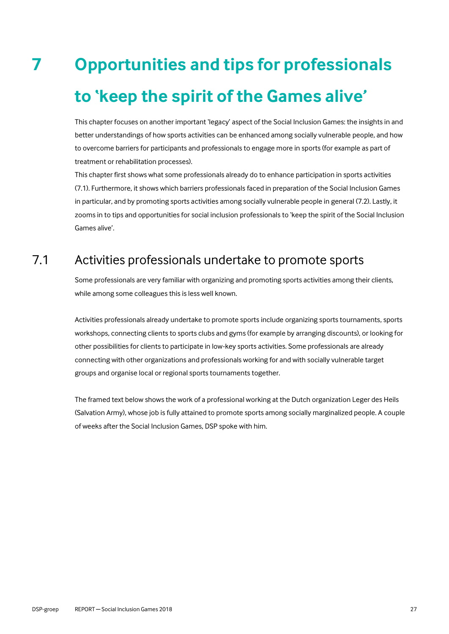# <span id="page-26-0"></span>**7 Opportunities and tips for professionals to 'keep the spirit of the Games alive'**

This chapter focuses on another important 'legacy' aspect of the Social Inclusion Games: the insights in and better understandings of how sports activities can be enhanced among socially vulnerable people, and how to overcome barriers for participants and professionals to engage more in sports (for example as part of treatment or rehabilitation processes).

This chapter first shows what some professionals already do to enhance participation in sports activities (7.1). Furthermore, it shows which barriers professionals faced in preparation of the Social Inclusion Games in particular, and by promoting sports activities among socially vulnerable people in general (7.2). Lastly, it zooms in to tips and opportunities for social inclusion professionals to 'keep the spirit of the Social Inclusion Games alive'.

# 7.1 Activities professionals undertake to promote sports

<span id="page-26-1"></span>Some professionals are very familiar with organizing and promoting sports activities among their clients, while among some colleagues this is less well known.

Activities professionals already undertake to promote sports include organizing sports tournaments, sports workshops, connecting clients to sports clubs and gyms (for example by arranging discounts), or looking for other possibilities for clients to participate in low-key sports activities. Some professionals are already connecting with other organizations and professionals working for and with socially vulnerable target groups and organise local or regional sports tournaments together.

The framed text below shows the work of a professional working at the Dutch organization Leger des Heils (Salvation Army), whose job is fully attained to promote sports among socially marginalized people. A couple of weeks after the Social Inclusion Games, DSP spoke with him.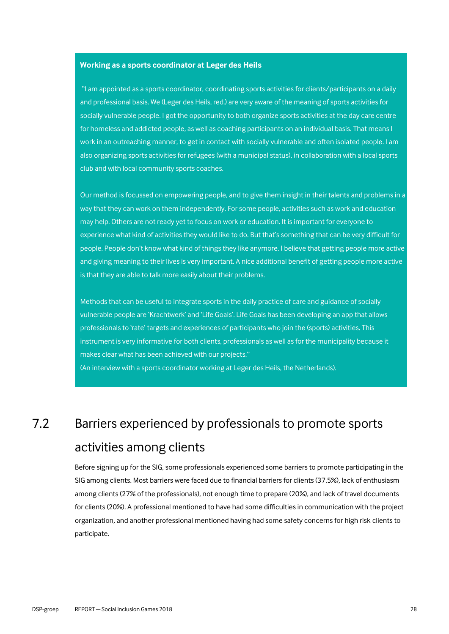#### **Working as a sports coordinator at Leger des Heils**

"I am appointed as a sports coordinator, coordinating sports activities for clients/participants on a daily and professional basis. We (Leger des Heils, red.) are very aware of the meaning of sports activities for socially vulnerable people. I got the opportunity to both organize sports activities at the day care centre for homeless and addicted people, as well as coaching participants on an individual basis. That means I work in an outreaching manner, to get in contact with socially vulnerable and often isolated people. I am also organizing sports activities for refugees (with a municipal status), in collaboration with a local sports club and with local community sports coaches.

Our method is focussed on empowering people, and to give them insight in their talents and problems in a way that they can work on them independently. For some people, activities such as work and education may help. Others are not ready yet to focus on work or education. It is important for everyone to experience what kind of activities they would like to do. But that's something that can be very difficult for people. People don't know what kind of things they like anymore. I believe that getting people more active and giving meaning to their lives is very important. A nice additional benefit of getting people more active is that they are able to talk more easily about their problems.

Methods that can be useful to integrate sports in the daily practice of care and guidance of socially vulnerable people are 'Krachtwerk' and 'Life Goals'. Life Goals has been developing an app that allows professionals to 'rate' targets and experiences of participants who join the (sports) activities. This instrument is very informative for both clients, professionals as well as for the municipality because it makes clear what has been achieved with our projects." (An interview with a sports coordinator working at Leger des Heils, the Netherlands).

# <span id="page-27-0"></span>7.2 Barriers experienced by professionals to promote sports activities among clients

Before signing up for the SIG, some professionals experienced some barriers to promote participating in the SIG among clients. Most barriers were faced due to financial barriers for clients (37.5%), lack of enthusiasm among clients (27% of the professionals), not enough time to prepare (20%), and lack of travel documents for clients (20%). A professional mentioned to have had some difficulties in communication with the project organization, and another professional mentioned having had some safety concerns for high risk clients to participate.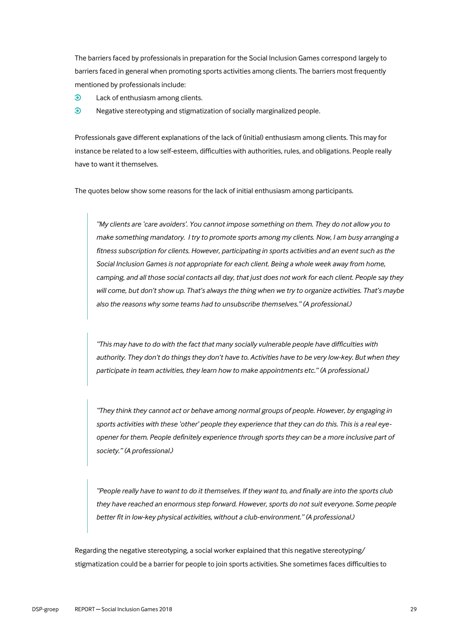The barriers faced by professionals in preparation for the Social Inclusion Games correspond largely to barriers faced in general when promoting sports activities among clients. The barriers most frequently mentioned by professionals include:

- $\bullet$ Lack of enthusiasm among clients.
- $\odot$ Negative stereotyping and stigmatization of socially marginalized people.

Professionals gave different explanations of the lack of (initial) enthusiasm among clients. This may for instance be related to a low self-esteem, difficulties with authorities, rules, and obligations. People really have to want it themselves.

The quotes below show some reasons for the lack of initial enthusiasm among participants.

*"My clients are 'care avoiders'. You cannot impose something on them. They do not allow you to make something mandatory. I try to promote sports among my clients. Now, I am busy arranging a fitness subscription for clients. However, participating in sports activities and an event such as the Social Inclusion Games is not appropriate for each client. Being a whole week away from home, camping, and all those social contacts all day, that just does not work for each client. People say they will come, but don't show up. That's always the thing when we try to organize activities. That's maybe also the reasons why some teams had to unsubscribe themselves." (A professional.)*

*"This may have to do with the fact that many socially vulnerable people have difficulties with authority. They don't do things they don't have to. Activities have to be very low-key. But when they participate in team activities, they learn how to make appointments etc." (A professional.)*

*"They think they cannot act or behave among normal groups of people. However, by engaging in sports activities with these 'other' people they experience that they can do this. This is a real eyeopener for them. People definitely experience through sports they can be a more inclusive part of society." (A professional.)*

*"People really have to want to do it themselves. If they want to, and finally are into the sports club they have reached an enormous step forward. However, sports do not suit everyone. Some people better fit in low-key physical activities, without a club-environment." (A professional.)*

Regarding the negative stereotyping, a social worker explained that this negative stereotyping/ stigmatization could be a barrier for people to join sports activities. She sometimes faces difficulties to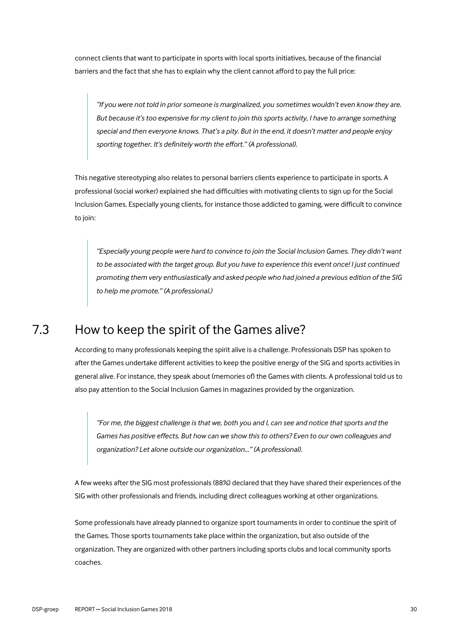connect clients that want to participate in sports with local sports initiatives, because of the financial barriers and the fact that she has to explain why the client cannot afford to pay the full price:

*"If you were not told in prior someone is marginalized, you sometimes wouldn't even know they are. But because it's too expensive for my client to join this sports activity, I have to arrange something special and then everyone knows. That's a pity. But in the end, it doesn't matter and people enjoy sporting together. It's definitely worth the effort." (A professional).*

This negative stereotyping also relates to personal barriers clients experience to participate in sports. A professional (social worker) explained she had difficulties with motivating clients to sign up for the Social Inclusion Games. Especially young clients, for instance those addicted to gaming, were difficult to convince to join:

*"Especially young people were hard to convince to join the Social Inclusion Games. They didn't want to be associated with the target group. But you have to experience this event once! I just continued promoting them very enthusiastically and asked people who had joined a previous edition of the SIG to help me promote." (A professional.)*

### 7.3 How to keep the spirit of the Games alive?

<span id="page-29-0"></span>According to many professionals keeping the spirit alive is a challenge. Professionals DSP has spoken to after the Games undertake different activities to keep the positive energy of the SIG and sports activities in general alive. For instance, they speak about (memories of) the Games with clients. A professional told us to also pay attention to the Social Inclusion Games in magazines provided by the organization.

*"For me, the biggest challenge is that we, both you and I, can see and notice that sports and the Games has positive effects. But how can we show this to others? Even to our own colleagues and organization? Let alone outside our organization..." (A professional).* 

A few weeks after the SIG most professionals (88%) declared that they have shared their experiences of the SIG with other professionals and friends, including direct colleagues working at other organizations.

Some professionals have already planned to organize sport tournaments in order to continue the spirit of the Games. Those sports tournaments take place within the organization, but also outside of the organization. They are organized with other partners including sports clubs and local community sports coaches.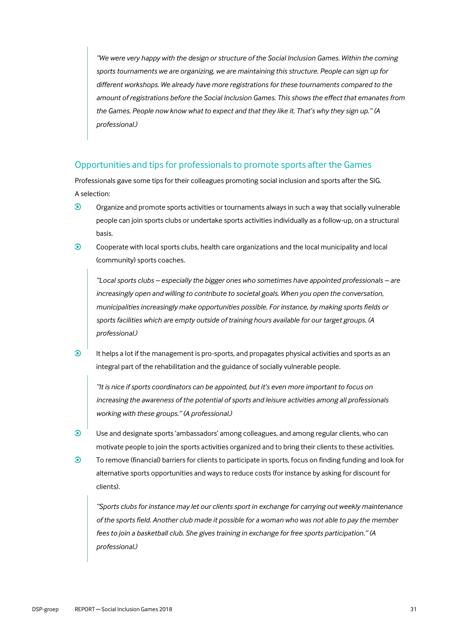*"We were very happy with the design or structure of the Social Inclusion Games. Within the coming sports tournaments we are organizing, we are maintaining this structure. People can sign up for different workshops. We already have more registrations for these tournaments compared to the amount of registrations before the Social Inclusion Games. This shows the effect that emanates from the Games. People now know what to expect and that they like it. That's why they sign up." (A professional.)*

#### Opportunities and tips for professionals to promote sports after the Games

Professionals gave some tips for their colleagues promoting social inclusion and sports after the SIG. A selection:

- $\odot$ Organize and promote sports activities or tournaments always in such a way that socially vulnerable people can join sports clubs or undertake sports activities individually as a follow-up, on a structural basis.
- $\odot$ Cooperate with local sports clubs, health care organizations and the local municipality and local (community) sports coaches.

*"Local sports clubs – especially the bigger ones who sometimes have appointed professionals – are increasingly open and willing to contribute to societal goals. When you open the conversation, municipalities increasingly make opportunities possible. For instance, by making sports fields or sports facilities which are empty outside of training hours available for our target groups. (A professional.)*

 $\odot$ It helps a lot if the management is pro-sports, and propagates physical activities and sports as an integral part of the rehabilitation and the guidance of socially vulnerable people.

*"It is nice if sports coordinators can be appointed, but it's even more important to focus on increasing the awareness of the potential of sports and leisure activities among all professionals working with these groups." (A professional.)*

- $\odot$ Use and designate sports 'ambassadors' among colleagues, and among regular clients, who can motivate people to join the sports activities organized and to bring their clients to these activities.
- $\odot$ To remove (financial) barriers for clients to participate in sports, focus on finding funding and look for alternative sports opportunities and ways to reduce costs (for instance by asking for discount for clients).

*"Sports clubs for instance may let our clients sport in exchange for carrying out weekly maintenance of the sports field. Another club made it possible for a woman who was not able to pay the member fees to join a basketball club. She gives training in exchange for free sports participation." (A professional.)*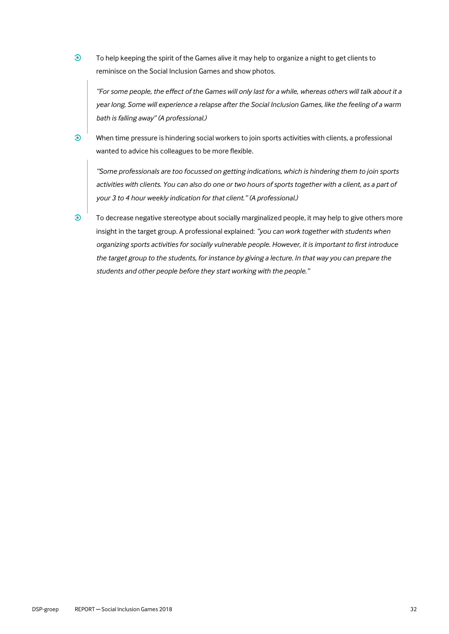$\odot$ To help keeping the spirit of the Games alive it may help to organize a night to get clients to reminisce on the Social Inclusion Games and show photos.

*"For some people, the effect of the Games will only last for a while, whereas others will talk about it a year long. Some will experience a relapse after the Social Inclusion Games, like the feeling of a warm bath is falling away" (A professional.)*

When time pressure is hindering social workers to join sports activities with clients, a professional wanted to advice his colleagues to be more flexible.

*"Some professionals are too focussed on getting indications, which is hindering them to join sports activities with clients. You can also do one or two hours of sports together with a client, as a part of your 3 to 4 hour weekly indication for that client." (A professional.)*

 $\odot$ 

 $\odot$ 

To decrease negative stereotype about socially marginalized people, it may help to give others more insight in the target group. A professional explained: *"you can work together with students when organizing sports activities for socially vulnerable people. However, it is important to first introduce the target group to the students, for instance by giving a lecture. In that way you can prepare the students and other people before they start working with the people."*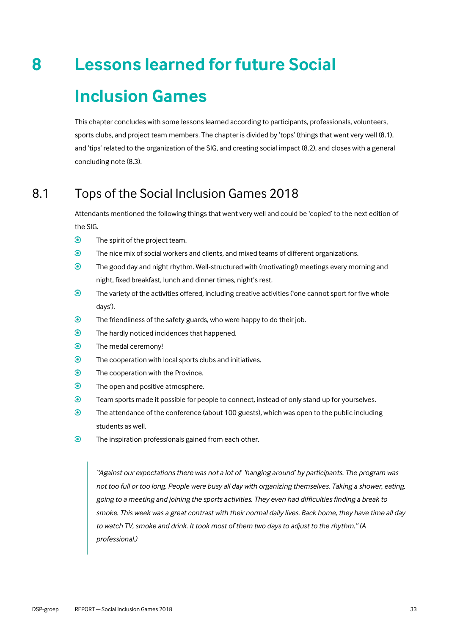# **8 Lessons learned for future Social**

# <span id="page-32-0"></span>**Inclusion Games**

This chapter concludes with some lessons learned according to participants, professionals, volunteers, sports clubs, and project team members. The chapter is divided by 'tops' (things that went very well (8.1), and 'tips' related to the organization of the SIG, and creating social impact (8.2), and closes with a general concluding note (8.3).

# 8.1 Tops of the Social Inclusion Games 2018

<span id="page-32-1"></span>Attendants mentioned the following things that went very well and could be 'copied' to the next edition of the SIG.

- $\odot$ The spirit of the project team.
- $\odot$ The nice mix of social workers and clients, and mixed teams of different organizations.
- $\odot$ The good day and night rhythm. Well-structured with (motivating!) meetings every morning and night, fixed breakfast, lunch and dinner times, night's rest.
- $\odot$ The variety of the activities offered, including creative activities ('one cannot sport for five whole days').
- $\odot$ The friendliness of the safety guards, who were happy to do their job.
- $\odot$ The hardly noticed incidences that happened.
- $\odot$ The medal ceremony!
- $\odot$ The cooperation with local sports clubs and initiatives.
- $\odot$ The cooperation with the Province.
- $\odot$ The open and positive atmosphere.
- $\odot$ Team sports made it possible for people to connect, instead of only stand up for yourselves.
- $\odot$ The attendance of the conference (about 100 guests), which was open to the public including students as well.
- $\odot$ The inspiration professionals gained from each other.

"Against our expectations there was not a lot of 'hanging around' by participants. The program was *not too full or too long. People were busy all day with organizing themselves. Taking a shower, eating, going to a meeting and joining the sports activities. They even had difficulties finding a break to smoke. This week was a great contrast with their normal daily lives. Back home, they have time all day to watch TV, smoke and drink. It took most of them two days to adjust to the rhythm." (A professional.)*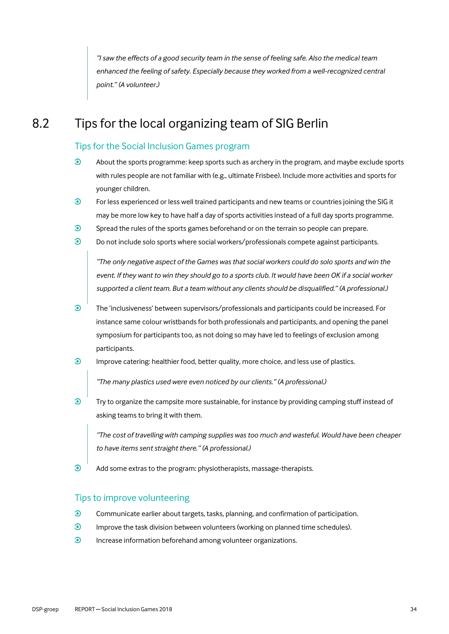*"I saw the effects of a good security team in the sense of feeling safe. Also the medical team enhanced the feeling of safety. Especially because they worked from a well-recognized central point." (A volunteer.)*

## 8.2 Tips for the local organizing team of SIG Berlin

#### <span id="page-33-0"></span>Tips for the Social Inclusion Games program

- $\odot$ About the sports programme: keep sports such as archery in the program, and maybe exclude sports with rules people are not familiar with (e.g., ultimate Frisbee). Include more activities and sports for younger children.
- $\odot$ For less experienced or less well trained participants and new teams or countries joining the SIG it may be more low key to have half a day of sports activities instead of a full day sports programme.
- $\odot$ Spread the rules of the sports games beforehand or on the terrain so people can prepare.
- $\odot$ Do not include solo sports where social workers/professionals compete against participants.

*"The only negative aspect of the Games was that social workers could do solo sports and win the event. If they want to win they should go to a sports club. It would have been OK if a social worker supported a client team. But a team without any clients should be disqualified." (A professional.)*

- $\ddot{\bm{c}}$ The 'inclusiveness' between supervisors/professionals and participants could be increased. For instance same colour wristbands for both professionals and participants, and opening the panel symposium for participants too, as not doing so may have led to feelings of exclusion among participants.
- $\odot$ Improve catering: healthier food, better quality, more choice, and less use of plastics.

*"The many plastics used were even noticed by our clients." (A professional.)*

 $\odot$ Try to organize the campsite more sustainable, for instance by providing camping stuff instead of asking teams to bring it with them.

*"The cost of travelling with camping supplies was too much and wasteful. Would have been cheaper to have items sent straight there." (A professional.)*

 $\odot$ Add some extras to the program: physiotherapists, massage-therapists.

#### Tips to improve volunteering

- $\odot$ Communicate earlier about targets, tasks, planning, and confirmation of participation.
- $\odot$ Improve the task division between volunteers (working on planned time schedules).
- $\odot$ Increase information beforehand among volunteer organizations.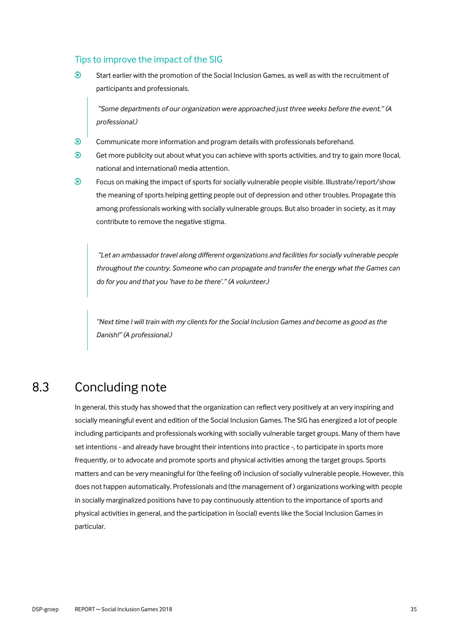#### Tips to improve the impact of the SIG

 $\odot$ Start earlier with the promotion of the Social Inclusion Games, as well as with the recruitment of participants and professionals.

*"Some departments of our organization were approached just three weeks before the event." (A professional.)*

- $\odot$ Communicate more information and program details with professionals beforehand.
- $\odot$ Get more publicity out about what you can achieve with sports activities, and try to gain more (local, national and international) media attention.
- $\odot$ Focus on making the impact of sports for socially vulnerable people visible. Illustrate/report/show the meaning of sports helping getting people out of depression and other troubles. Propagate this among professionals working with socially vulnerable groups. But also broader in society, as it may contribute to remove the negative stigma.

*"Let an ambassador travel along different organizations and facilities for socially vulnerable people throughout the country. Someone who can propagate and transfer the energy what the Games can do for you and that you 'have to be there'." (A volunteer.)*

*"Next time I will train with my clients for the Social Inclusion Games and become as good as the Danish!" (A professional.)*

## 8.3 Concluding note

<span id="page-34-0"></span>In general, this study has showed that the organization can reflect very positively at an very inspiring and socially meaningful event and edition of the Social Inclusion Games. The SIG has energized a lot of people including participants and professionals working with socially vulnerable target groups. Many of them have set intentions - and already have brought their intentions into practice -, to participate in sports more frequently, or to advocate and promote sports and physical activities among the target groups. Sports matters and can be very meaningful for (the feeling of) inclusion of socially vulnerable people. However, this does not happen automatically. Professionals and (the management of ) organizations working with people in socially marginalized positions have to pay continuously attention to the importance of sports and physical activities in general, and the participation in (social) events like the Social Inclusion Games in particular.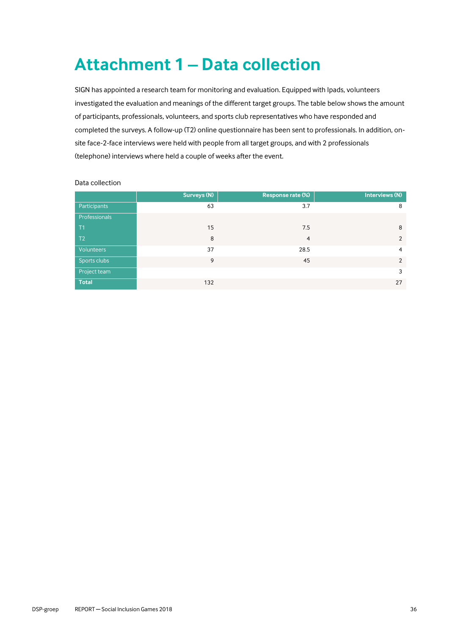# <span id="page-35-0"></span>**Attachment 1 – Data collection**

SIGN has appointed a research team for monitoring and evaluation. Equipped with Ipads, volunteers investigated the evaluation and meanings of the different target groups. The table below shows the amount of participants, professionals, volunteers, and sports club representatives who have responded and completed the surveys. A follow-up (T2) online questionnaire has been sent to professionals. In addition, onsite face-2-face interviews were held with people from all target groups, and with 2 professionals (telephone) interviews where held a couple of weeks after the event.

|                   | Surveys (N) | Response rate (%) | Interviews (N) |
|-------------------|-------------|-------------------|----------------|
| Participants      | 63          | 3.7               | 8              |
| Professionals     |             |                   |                |
| T1                | 15          | 7.5               | 8              |
| T <sub>2</sub>    | 8           | $\overline{4}$    | $\overline{2}$ |
| <b>Volunteers</b> | 37          | 28.5              | $\overline{4}$ |
| Sports clubs      | 9           | 45                | 2              |
| Project team      |             |                   | 3              |
| <b>Total</b>      | 132         |                   | 27             |

#### Data collection